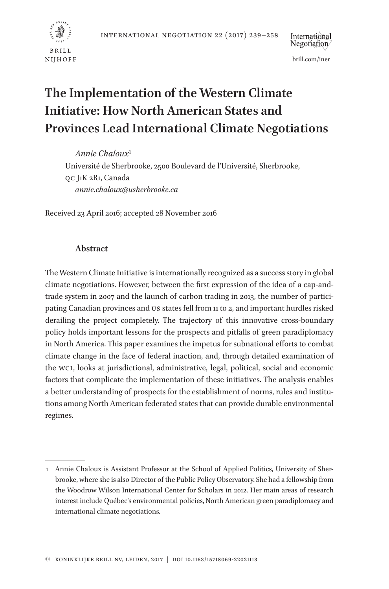

# **The Implementation of the Western Climate Initiative: How North American States and Provinces Lead International Climate Negotiations**

*Annie Chaloux*1 Université de Sherbrooke, 2500 Boulevard de l'Université, Sherbrooke, QC J1K 2R1, Canada *annie.chaloux@usherbrooke.ca*

Received 23 April 2016; accepted 28 November 2016

# **Abstract**

The Western Climate Initiative is internationally recognized as a success story in global climate negotiations. However, between the first expression of the idea of a cap-andtrade system in 2007 and the launch of carbon trading in 2013, the number of participating Canadian provinces and US states fell from 11 to 2, and important hurdles risked derailing the project completely. The trajectory of this innovative cross-boundary policy holds important lessons for the prospects and pitfalls of green paradiplomacy in North America. This paper examines the impetus for subnational efforts to combat climate change in the face of federal inaction, and, through detailed examination of the WCI, looks at jurisdictional, administrative, legal, political, social and economic factors that complicate the implementation of these initiatives. The analysis enables a better understanding of prospects for the establishment of norms, rules and institutions among North American federated states that can provide durable environmental regimes.

<sup>1</sup> Annie Chaloux is Assistant Professor at the School of Applied Politics, University of Sherbrooke, where she is also Director of the Public Policy Observatory. She had a fellowship from the Woodrow Wilson International Center for Scholars in 2012. Her main areas of research interest include Québec's environmental policies, North American green paradiplomacy and international climate negotiations.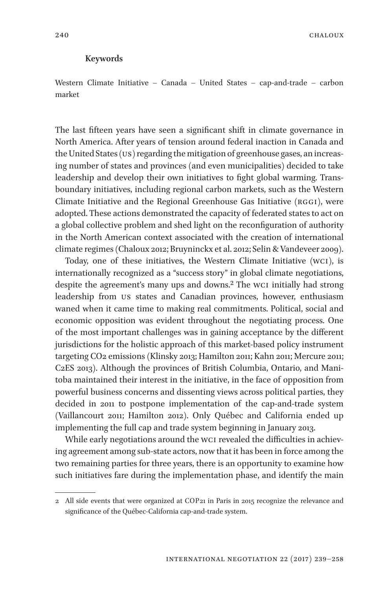#### **Keywords**

Western Climate Initiative – Canada – United States – cap-and-trade – carbon market

The last fifteen years have seen a significant shift in climate governance in North America. After years of tension around federal inaction in Canada and the United States (US) regarding the mitigation of greenhouse gases, an increasing number of states and provinces (and even municipalities) decided to take leadership and develop their own initiatives to fight global warming. Transboundary initiatives, including regional carbon markets, such as the Western Climate Initiative and the Regional Greenhouse Gas Initiative (RGGI), were adopted. These actions demonstrated the capacity of federated states to act on a global collective problem and shed light on the reconfiguration of authority in the North American context associated with the creation of international climate regimes (Chaloux 2012; Bruyninckx et al. 2012; Selin & Vandeveer 2009).

Today, one of these initiatives, the Western Climate Initiative (WCI), is internationally recognized as a "success story" in global climate negotiations, despite the agreement's many ups and downs.<sup>2</sup> The WCI initially had strong leadership from US states and Canadian provinces, however, enthusiasm waned when it came time to making real commitments. Political, social and economic opposition was evident throughout the negotiating process. One of the most important challenges was in gaining acceptance by the different jurisdictions for the holistic approach of this market-based policy instrument targeting CO2 emissions (Klinsky 2013; Hamilton 2011; Kahn 2011; Mercure 2011; C2ES 2013). Although the provinces of British Columbia, Ontario, and Manitoba maintained their interest in the initiative, in the face of opposition from powerful business concerns and dissenting views across political parties, they decided in 2011 to postpone implementation of the cap-and-trade system (Vaillancourt 2011; Hamilton 2012). Only Québec and California ended up implementing the full cap and trade system beginning in January 2013.

While early negotiations around the WCI revealed the difficulties in achieving agreement among sub-state actors, now that it has been in force among the two remaining parties for three years, there is an opportunity to examine how such initiatives fare during the implementation phase, and identify the main

<sup>2</sup> All side events that were organized at COP21 in Paris in 2015 recognize the relevance and significance of the Québec-California cap-and-trade system.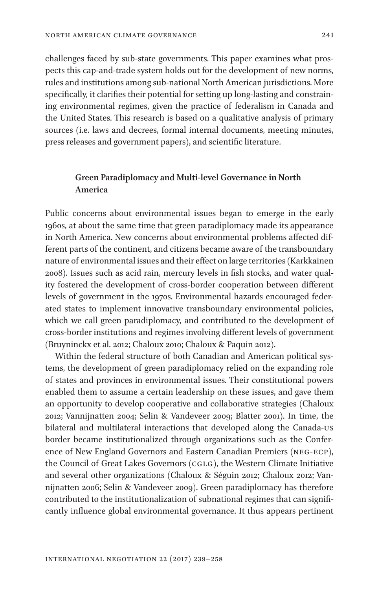challenges faced by sub-state governments. This paper examines what prospects this cap-and-trade system holds out for the development of new norms, rules and institutions among sub-national North American jurisdictions. More specifically, it clarifies their potential for setting up long-lasting and constraining environmental regimes, given the practice of federalism in Canada and the United States. This research is based on a qualitative analysis of primary sources (i.e. laws and decrees, formal internal documents, meeting minutes, press releases and government papers), and scientific literature.

# **Green Paradiplomacy and Multi-level Governance in North America**

Public concerns about environmental issues began to emerge in the early 1960s, at about the same time that green paradiplomacy made its appearance in North America. New concerns about environmental problems affected different parts of the continent, and citizens became aware of the transboundary nature of environmental issues and their effect on large territories (Karkkainen 2008). Issues such as acid rain, mercury levels in fish stocks, and water quality fostered the development of cross-border cooperation between different levels of government in the 1970s. Environmental hazards encouraged federated states to implement innovative transboundary environmental policies, which we call green paradiplomacy, and contributed to the development of cross-border institutions and regimes involving different levels of government (Bruyninckx et al. 2012; Chaloux 2010; Chaloux & Paquin 2012).

Within the federal structure of both Canadian and American political systems, the development of green paradiplomacy relied on the expanding role of states and provinces in environmental issues. Their constitutional powers enabled them to assume a certain leadership on these issues, and gave them an opportunity to develop cooperative and collaborative strategies (Chaloux 2012; Vannijnatten 2004; Selin & Vandeveer 2009; Blatter 2001). In time, the bilateral and multilateral interactions that developed along the Canada-US border became institutionalized through organizations such as the Conference of New England Governors and Eastern Canadian Premiers (NEG-ECP), the Council of Great Lakes Governors (CGLG), the Western Climate Initiative and several other organizations (Chaloux & Séguin 2012; Chaloux 2012; Vannijnatten 2006; Selin & Vandeveer 2009). Green paradiplomacy has therefore contributed to the institutionalization of subnational regimes that can significantly influence global environmental governance. It thus appears pertinent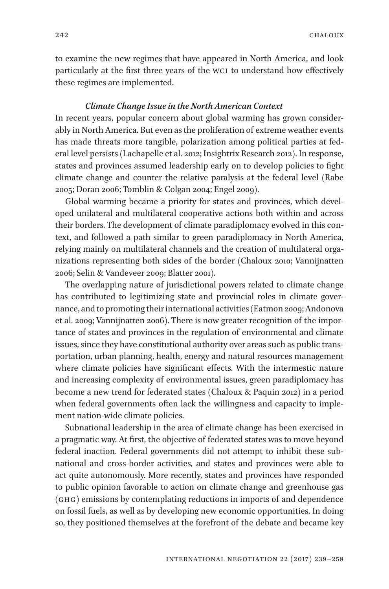to examine the new regimes that have appeared in North America, and look particularly at the first three years of the WCI to understand how effectively these regimes are implemented.

#### *Climate Change Issue in the North American Context*

In recent years, popular concern about global warming has grown considerably in North America. But even as the proliferation of extreme weather events has made threats more tangible, polarization among political parties at federal level persists (Lachapelle et al. 2012; Insightrix Research 2012). In response, states and provinces assumed leadership early on to develop policies to fight climate change and counter the relative paralysis at the federal level (Rabe 2005; Doran 2006; Tomblin & Colgan 2004; Engel 2009).

Global warming became a priority for states and provinces, which developed unilateral and multilateral cooperative actions both within and across their borders. The development of climate paradiplomacy evolved in this context, and followed a path similar to green paradiplomacy in North America, relying mainly on multilateral channels and the creation of multilateral organizations representing both sides of the border (Chaloux 2010; Vannijnatten 2006; Selin & Vandeveer 2009; Blatter 2001).

The overlapping nature of jurisdictional powers related to climate change has contributed to legitimizing state and provincial roles in climate governance, and to promoting their international activities (Eatmon 2009; Andonova et al. 2009; Vannijnatten 2006). There is now greater recognition of the importance of states and provinces in the regulation of environmental and climate issues, since they have constitutional authority over areas such as public transportation, urban planning, health, energy and natural resources management where climate policies have significant effects. With the intermestic nature and increasing complexity of environmental issues, green paradiplomacy has become a new trend for federated states (Chaloux & Paquin 2012) in a period when federal governments often lack the willingness and capacity to implement nation-wide climate policies.

Subnational leadership in the area of climate change has been exercised in a pragmatic way. At first, the objective of federated states was to move beyond federal inaction. Federal governments did not attempt to inhibit these subnational and cross-border activities, and states and provinces were able to act quite autonomously. More recently, states and provinces have responded to public opinion favorable to action on climate change and greenhouse gas (GHG) emissions by contemplating reductions in imports of and dependence on fossil fuels, as well as by developing new economic opportunities. In doing so, they positioned themselves at the forefront of the debate and became key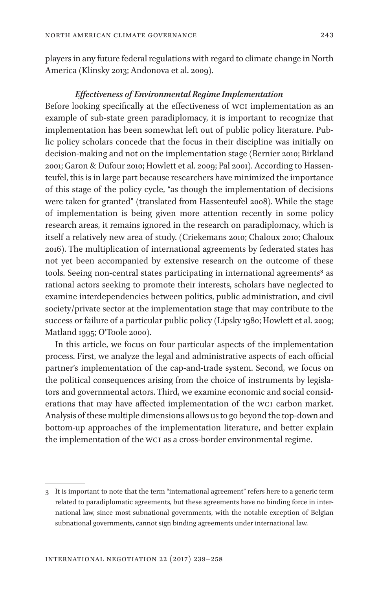players in any future federal regulations with regard to climate change in North America (Klinsky 2013; Andonova et al. 2009).

# *Effectiveness of Environmental Regime Implementation*

Before looking specifically at the effectiveness of WCI implementation as an example of sub-state green paradiplomacy, it is important to recognize that implementation has been somewhat left out of public policy literature. Public policy scholars concede that the focus in their discipline was initially on decision-making and not on the implementation stage (Bernier 2010; Birkland 2001; Garon & Dufour 2010; Howlett et al. 2009; Pal 2001). According to Hassenteufel, this is in large part because researchers have minimized the importance of this stage of the policy cycle, "as though the implementation of decisions were taken for granted" (translated from Hassenteufel 2008). While the stage of implementation is being given more attention recently in some policy research areas, it remains ignored in the research on paradiplomacy, which is itself a relatively new area of study. (Criekemans 2010; Chaloux 2010; Chaloux 2016). The multiplication of international agreements by federated states has not yet been accompanied by extensive research on the outcome of these tools. Seeing non-central states participating in international agreements<sup>3</sup> as rational actors seeking to promote their interests, scholars have neglected to examine interdependencies between politics, public administration, and civil society/private sector at the implementation stage that may contribute to the success or failure of a particular public policy (Lipsky 1980; Howlett et al. 2009; Matland 1995; O'Toole 2000).

In this article, we focus on four particular aspects of the implementation process. First, we analyze the legal and administrative aspects of each official partner's implementation of the cap-and-trade system. Second, we focus on the political consequences arising from the choice of instruments by legislators and governmental actors. Third, we examine economic and social considerations that may have affected implementation of the WCI carbon market. Analysis of these multiple dimensions allows us to go beyond the top-down and bottom-up approaches of the implementation literature, and better explain the implementation of the WCI as a cross-border environmental regime.

<sup>3</sup> It is important to note that the term "international agreement" refers here to a generic term related to paradiplomatic agreements, but these agreements have no binding force in international law, since most subnational governments, with the notable exception of Belgian subnational governments, cannot sign binding agreements under international law.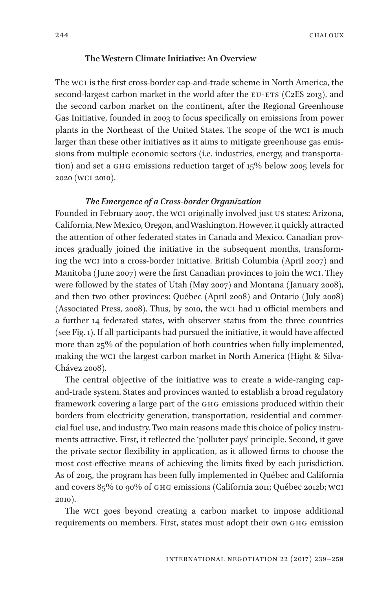#### **The Western Climate Initiative: An Overview**

The WCI is the first cross-border cap-and-trade scheme in North America, the second-largest carbon market in the world after the EU-ETS (C2ES 2013), and the second carbon market on the continent, after the Regional Greenhouse Gas Initiative, founded in 2003 to focus specifically on emissions from power plants in the Northeast of the United States. The scope of the WCI is much larger than these other initiatives as it aims to mitigate greenhouse gas emissions from multiple economic sectors (i.e. industries, energy, and transportation) and set a GHG emissions reduction target of 15% below 2005 levels for 2020 (WCI 2010).

# *The Emergence of a Cross-border Organization*

Founded in February 2007, the WCI originally involved just US states: Arizona, California, New Mexico, Oregon, and Washington. However, it quickly attracted the attention of other federated states in Canada and Mexico. Canadian provinces gradually joined the initiative in the subsequent months, transforming the WCI into a cross-border initiative. British Columbia (April 2007) and Manitoba (June 2007) were the first Canadian provinces to join the WCI. They were followed by the states of Utah (May 2007) and Montana (January 2008), and then two other provinces: Québec (April 2008) and Ontario (July 2008) (Associated Press, 2008). Thus, by 2010, the WCI had 11 official members and a further 14 federated states, with observer status from the three countries (see Fig. 1). If all participants had pursued the initiative, it would have affected more than 25% of the population of both countries when fully implemented, making the WCI the largest carbon market in North America (Hight & Silva-Chávez 2008).

The central objective of the initiative was to create a wide-ranging capand-trade system. States and provinces wanted to establish a broad regulatory framework covering a large part of the GHG emissions produced within their borders from electricity generation, transportation, residential and commercial fuel use, and industry. Two main reasons made this choice of policy instruments attractive. First, it reflected the 'polluter pays' principle. Second, it gave the private sector flexibility in application, as it allowed firms to choose the most cost-effective means of achieving the limits fixed by each jurisdiction. As of 2015, the program has been fully implemented in Québec and California and covers 85% to 90% of GHG emissions (California 2011; Québec 2012b; WCI 2010).

The WCI goes beyond creating a carbon market to impose additional requirements on members. First, states must adopt their own GHG emission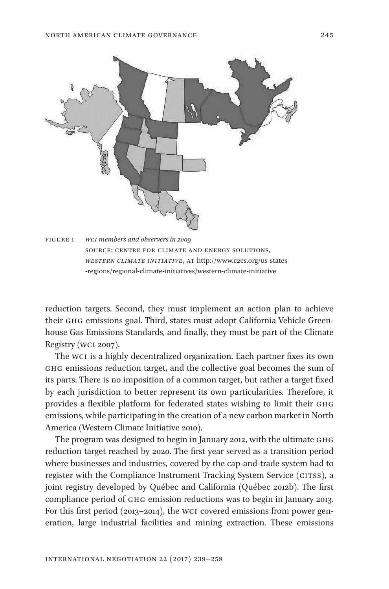

 Source: Centre for Climate and Energy Solutions, *Western Climate Initiative*, At http://www.c2es.org/us-states -regions/regional-climate-initiatives/western-climate-initiative

reduction targets. Second, they must implement an action plan to achieve their GHG emissions goal. Third, states must adopt California Vehicle Greenhouse Gas Emissions Standards, and finally, they must be part of the Climate Registry (WCI 2007).

The WCI is a highly decentralized organization. Each partner fixes its own GHG emissions reduction target, and the collective goal becomes the sum of its parts. There is no imposition of a common target, but rather a target fixed by each jurisdiction to better represent its own particularities. Therefore, it provides a flexible platform for federated states wishing to limit their GHG emissions, while participating in the creation of a new carbon market in North America (Western Climate Initiative 2010).

The program was designed to begin in January 2012, with the ultimate GHG reduction target reached by 2020. The first year served as a transition period where businesses and industries, covered by the cap-and-trade system had to register with the Compliance Instrument Tracking System Service (CITSS), a joint registry developed by Québec and California (Québec 2012b). The first compliance period of GHG emission reductions was to begin in January 2013. For this first period (2013–2014), the WCI covered emissions from power generation, large industrial facilities and mining extraction. These emissions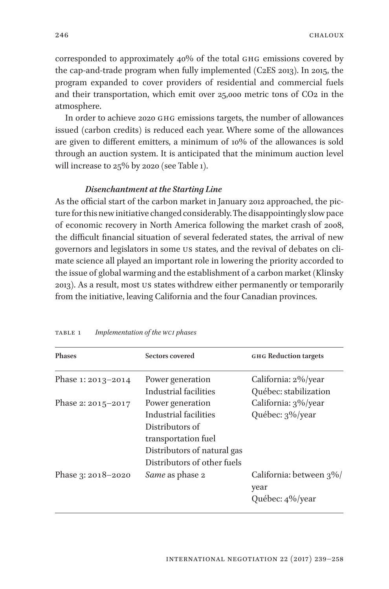corresponded to approximately 40% of the total GHG emissions covered by the cap-and-trade program when fully implemented (C2ES 2013). In 2015, the program expanded to cover providers of residential and commercial fuels and their transportation, which emit over 25,000 metric tons of CO2 in the atmosphere.

In order to achieve 2020 GHG emissions targets, the number of allowances issued (carbon credits) is reduced each year. Where some of the allowances are given to different emitters, a minimum of 10% of the allowances is sold through an auction system. It is anticipated that the minimum auction level will increase to 25% by 2020 (see Table 1).

# *Disenchantment at the Starting Line*

As the official start of the carbon market in January 2012 approached, the picture for this new initiative changed considerably. The disappointingly slow pace of economic recovery in North America following the market crash of 2008, the difficult financial situation of several federated states, the arrival of new governors and legislators in some US states, and the revival of debates on climate science all played an important role in lowering the priority accorded to the issue of global warming and the establishment of a carbon market (Klinsky 2013). As a result, most US states withdrew either permanently or temporarily from the initiative, leaving California and the four Canadian provinces.

| <b>Phases</b>      | Sectors covered             | <b>GHG</b> Reduction targets |
|--------------------|-----------------------------|------------------------------|
| Phase 1:2013-2014  | Power generation            | California: 2%/year          |
|                    | Industrial facilities       | Québec: stabilization        |
| Phase 2: 2015-2017 | Power generation            | California: 3%/year          |
|                    | Industrial facilities       | Québec: 3%/year              |
|                    | Distributors of             |                              |
|                    | transportation fuel         |                              |
|                    | Distributors of natural gas |                              |
|                    | Distributors of other fuels |                              |
| Phase 3: 2018-2020 | Same as phase 2             | California: between 3%/      |
|                    |                             | year                         |
|                    |                             | Québec: 4%/year              |
|                    |                             |                              |

Table 1 *Implementation of the WCI phases*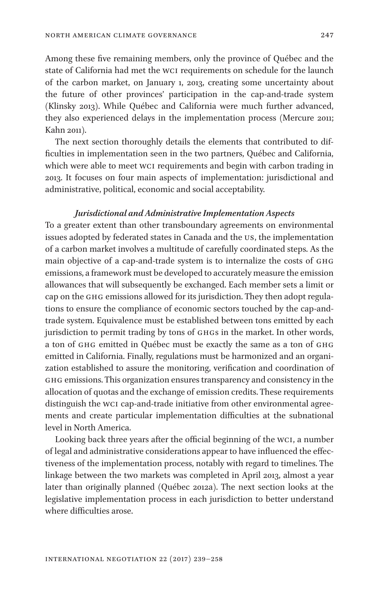Among these five remaining members, only the province of Québec and the state of California had met the WCI requirements on schedule for the launch of the carbon market, on January 1, 2013, creating some uncertainty about the future of other provinces' participation in the cap-and-trade system (Klinsky 2013). While Québec and California were much further advanced, they also experienced delays in the implementation process (Mercure 2011; Kahn 2011).

The next section thoroughly details the elements that contributed to difficulties in implementation seen in the two partners, Québec and California, which were able to meet WCI requirements and begin with carbon trading in 2013. It focuses on four main aspects of implementation: jurisdictional and administrative, political, economic and social acceptability.

### *Jurisdictional and Administrative Implementation Aspects*

To a greater extent than other transboundary agreements on environmental issues adopted by federated states in Canada and the US, the implementation of a carbon market involves a multitude of carefully coordinated steps. As the main objective of a cap-and-trade system is to internalize the costs of GHG emissions, a framework must be developed to accurately measure the emission allowances that will subsequently be exchanged. Each member sets a limit or cap on the GHG emissions allowed for its jurisdiction. They then adopt regulations to ensure the compliance of economic sectors touched by the cap-andtrade system. Equivalence must be established between tons emitted by each jurisdiction to permit trading by tons of GHGs in the market. In other words, a ton of GHG emitted in Québec must be exactly the same as a ton of GHG emitted in California. Finally, regulations must be harmonized and an organization established to assure the monitoring, verification and coordination of GHG emissions. This organization ensures transparency and consistency in the allocation of quotas and the exchange of emission credits. These requirements distinguish the WCI cap-and-trade initiative from other environmental agreements and create particular implementation difficulties at the subnational level in North America.

Looking back three years after the official beginning of the WCI, a number of legal and administrative considerations appear to have influenced the effectiveness of the implementation process, notably with regard to timelines. The linkage between the two markets was completed in April 2013, almost a year later than originally planned (Québec 2012a). The next section looks at the legislative implementation process in each jurisdiction to better understand where difficulties arose.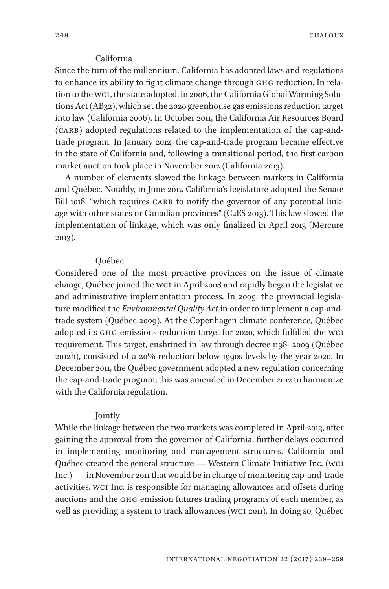248 CHALOUX

#### California

Since the turn of the millennium, California has adopted laws and regulations to enhance its ability to fight climate change through GHG reduction. In relation to the WCI, the state adopted, in 2006, the California Global Warming Solutions Act (AB32), which set the 2020 greenhouse gas emissions reduction target into law (California 2006). In October 2011, the California Air Resources Board (CARB) adopted regulations related to the implementation of the cap-andtrade program. In January 2012, the cap-and-trade program became effective in the state of California and, following a transitional period, the first carbon market auction took place in November 2012 (California 2013).

A number of elements slowed the linkage between markets in California and Québec. Notably, in June 2012 California's legislature adopted the Senate Bill 1018, "which requires CARB to notify the governor of any potential linkage with other states or Canadian provinces" (C2ES 2013). This law slowed the implementation of linkage, which was only finalized in April 2013 (Mercure 2013).

## Québec

Considered one of the most proactive provinces on the issue of climate change, Québec joined the WCI in April 2008 and rapidly began the legislative and administrative implementation process. In 2009, the provincial legislature modified the *Environmental Quality Act* in order to implement a cap-andtrade system (Québec 2009). At the Copenhagen climate conference, Québec adopted its GHG emissions reduction target for 2020, which fulfilled the WCI requirement. This target, enshrined in law through decree 1198–2009 (Québec 2012b), consisted of a 20% reduction below 1990s levels by the year 2020. In December 2011, the Québec government adopted a new regulation concerning the cap-and-trade program; this was amended in December 2012 to harmonize with the California regulation.

## Jointly

While the linkage between the two markets was completed in April 2013, after gaining the approval from the governor of California, further delays occurred in implementing monitoring and management structures. California and Québec created the general structure — Western Climate Initiative Inc. (WCI Inc.) — in November 2011 that would be in charge of monitoring cap-and-trade activities. WCI Inc. is responsible for managing allowances and offsets during auctions and the GHG emission futures trading programs of each member, as well as providing a system to track allowances (WCI 2011). In doing so, Québec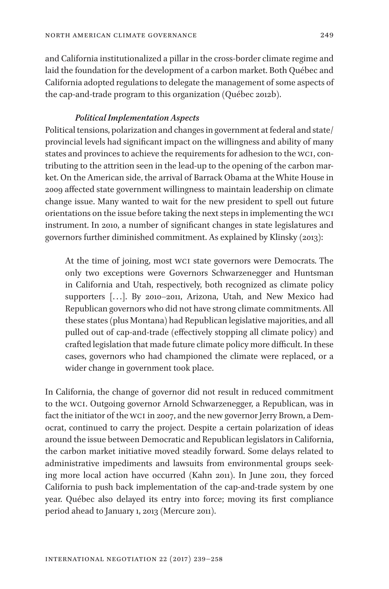and California institutionalized a pillar in the cross-border climate regime and laid the foundation for the development of a carbon market. Both Québec and California adopted regulations to delegate the management of some aspects of the cap-and-trade program to this organization (Québec 2012b).

# *Political Implementation Aspects*

Political tensions, polarization and changes in government at federal and state/ provincial levels had significant impact on the willingness and ability of many states and provinces to achieve the requirements for adhesion to the WCI, contributing to the attrition seen in the lead-up to the opening of the carbon market. On the American side, the arrival of Barrack Obama at the White House in 2009 affected state government willingness to maintain leadership on climate change issue. Many wanted to wait for the new president to spell out future orientations on the issue before taking the next steps in implementing the WCI instrument. In 2010, a number of significant changes in state legislatures and governors further diminished commitment. As explained by Klinsky (2013):

At the time of joining, most WCI state governors were Democrats. The only two exceptions were Governors Schwarzenegger and Huntsman in California and Utah, respectively, both recognized as climate policy supporters [...]. By 2010-2011, Arizona, Utah, and New Mexico had Republican governors who did not have strong climate commitments. All these states (plus Montana) had Republican legislative majorities, and all pulled out of cap-and-trade (effectively stopping all climate policy) and crafted legislation that made future climate policy more difficult. In these cases, governors who had championed the climate were replaced, or a wider change in government took place.

In California, the change of governor did not result in reduced commitment to the WCI. Outgoing governor Arnold Schwarzenegger, a Republican, was in fact the initiator of the WCI in 2007, and the new governor Jerry Brown, a Democrat, continued to carry the project. Despite a certain polarization of ideas around the issue between Democratic and Republican legislators in California, the carbon market initiative moved steadily forward. Some delays related to administrative impediments and lawsuits from environmental groups seeking more local action have occurred (Kahn 2011). In June 2011, they forced California to push back implementation of the cap-and-trade system by one year. Québec also delayed its entry into force; moving its first compliance period ahead to January 1, 2013 (Mercure 2011).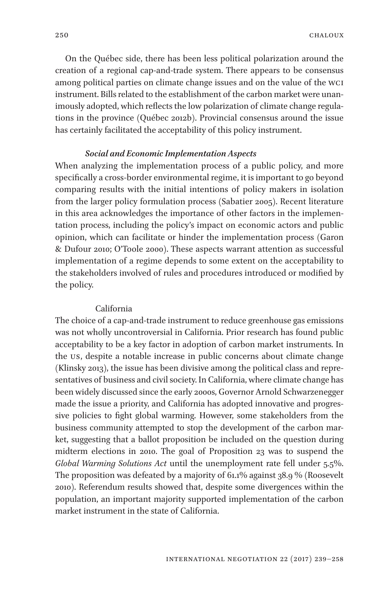On the Québec side, there has been less political polarization around the creation of a regional cap-and-trade system. There appears to be consensus among political parties on climate change issues and on the value of the WCI instrument. Bills related to the establishment of the carbon market were unanimously adopted, which reflects the low polarization of climate change regulations in the province (Québec 2012b). Provincial consensus around the issue has certainly facilitated the acceptability of this policy instrument.

## *Social and Economic Implementation Aspects*

When analyzing the implementation process of a public policy, and more specifically a cross-border environmental regime, it is important to go beyond comparing results with the initial intentions of policy makers in isolation from the larger policy formulation process (Sabatier 2005). Recent literature in this area acknowledges the importance of other factors in the implementation process, including the policy's impact on economic actors and public opinion, which can facilitate or hinder the implementation process (Garon & Dufour 2010; O'Toole 2000). These aspects warrant attention as successful implementation of a regime depends to some extent on the acceptability to the stakeholders involved of rules and procedures introduced or modified by the policy.

#### California

The choice of a cap-and-trade instrument to reduce greenhouse gas emissions was not wholly uncontroversial in California. Prior research has found public acceptability to be a key factor in adoption of carbon market instruments. In the US, despite a notable increase in public concerns about climate change (Klinsky 2013), the issue has been divisive among the political class and representatives of business and civil society. In California, where climate change has been widely discussed since the early 2000s, Governor Arnold Schwarzenegger made the issue a priority, and California has adopted innovative and progressive policies to fight global warming. However, some stakeholders from the business community attempted to stop the development of the carbon market, suggesting that a ballot proposition be included on the question during midterm elections in 2010. The goal of Proposition 23 was to suspend the *Global Warming Solutions Act* until the unemployment rate fell under 5.5%. The proposition was defeated by a majority of 61.1% against 38.9 % (Roosevelt 2010). Referendum results showed that, despite some divergences within the population, an important majority supported implementation of the carbon market instrument in the state of California.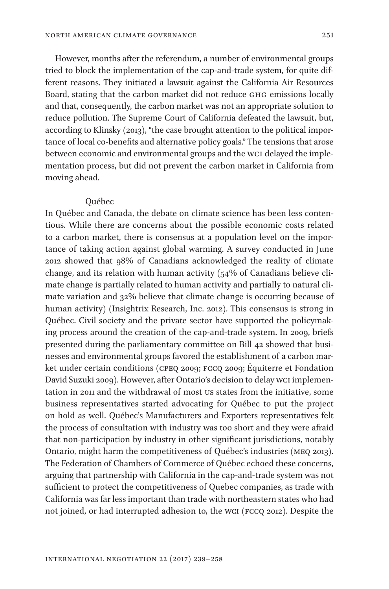However, months after the referendum, a number of environmental groups tried to block the implementation of the cap-and-trade system, for quite different reasons. They initiated a lawsuit against the California Air Resources Board, stating that the carbon market did not reduce GHG emissions locally and that, consequently, the carbon market was not an appropriate solution to reduce pollution. The Supreme Court of California defeated the lawsuit, but, according to Klinsky (2013), "the case brought attention to the political importance of local co-benefits and alternative policy goals." The tensions that arose between economic and environmental groups and the WCI delayed the implementation process, but did not prevent the carbon market in California from moving ahead.

#### Québec

In Québec and Canada, the debate on climate science has been less contentious. While there are concerns about the possible economic costs related to a carbon market, there is consensus at a population level on the importance of taking action against global warming. A survey conducted in June 2012 showed that 98% of Canadians acknowledged the reality of climate change, and its relation with human activity (54% of Canadians believe climate change is partially related to human activity and partially to natural climate variation and 32% believe that climate change is occurring because of human activity) (Insightrix Research, Inc. 2012). This consensus is strong in Québec. Civil society and the private sector have supported the policymaking process around the creation of the cap-and-trade system. In 2009, briefs presented during the parliamentary committee on Bill 42 showed that businesses and environmental groups favored the establishment of a carbon market under certain conditions (CPEQ 2009; FCCQ 2009; Équiterre et Fondation David Suzuki 2009). However, after Ontario's decision to delay WCI implementation in 2011 and the withdrawal of most US states from the initiative, some business representatives started advocating for Québec to put the project on hold as well. Québec's Manufacturers and Exporters representatives felt the process of consultation with industry was too short and they were afraid that non-participation by industry in other significant jurisdictions, notably Ontario, might harm the competitiveness of Québec's industries (MEQ 2013). The Federation of Chambers of Commerce of Québec echoed these concerns, arguing that partnership with California in the cap-and-trade system was not sufficient to protect the competitiveness of Quebec companies, as trade with California was far less important than trade with northeastern states who had not joined, or had interrupted adhesion to, the WCI (FCCQ 2012). Despite the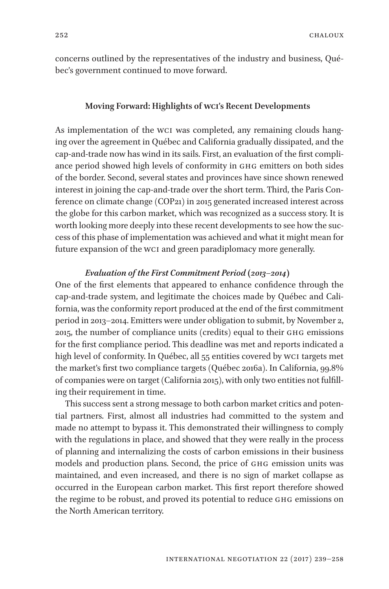concerns outlined by the representatives of the industry and business, Québec's government continued to move forward.

### **Moving Forward: Highlights of WCI's Recent Developments**

As implementation of the WCI was completed, any remaining clouds hanging over the agreement in Québec and California gradually dissipated, and the cap-and-trade now has wind in its sails. First, an evaluation of the first compliance period showed high levels of conformity in GHG emitters on both sides of the border. Second, several states and provinces have since shown renewed interest in joining the cap-and-trade over the short term. Third, the Paris Conference on climate change (COP21) in 2015 generated increased interest across the globe for this carbon market, which was recognized as a success story. It is worth looking more deeply into these recent developments to see how the success of this phase of implementation was achieved and what it might mean for future expansion of the WCI and green paradiplomacy more generally.

## *Evaluation of the First Commitment Period (2013–2014)*

One of the first elements that appeared to enhance confidence through the cap-and-trade system, and legitimate the choices made by Québec and California, was the conformity report produced at the end of the first commitment period in 2013–2014. Emitters were under obligation to submit, by November 2, 2015, the number of compliance units (credits) equal to their GHG emissions for the first compliance period. This deadline was met and reports indicated a high level of conformity. In Québec, all 55 entities covered by WCI targets met the market's first two compliance targets (Québec 2016a). In California, 99.8% of companies were on target (California 2015), with only two entities not fulfilling their requirement in time.

This success sent a strong message to both carbon market critics and potential partners. First, almost all industries had committed to the system and made no attempt to bypass it. This demonstrated their willingness to comply with the regulations in place, and showed that they were really in the process of planning and internalizing the costs of carbon emissions in their business models and production plans. Second, the price of GHG emission units was maintained, and even increased, and there is no sign of market collapse as occurred in the European carbon market. This first report therefore showed the regime to be robust, and proved its potential to reduce GHG emissions on the North American territory.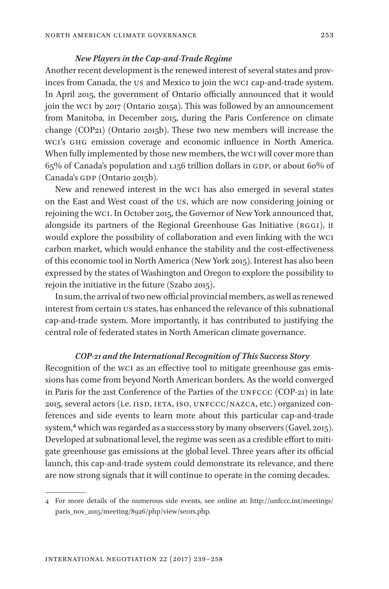# *New Players in the Cap-and-Trade Regime*

Another recent development is the renewed interest of several states and provinces from Canada, the US and Mexico to join the WCI cap-and-trade system. In April 2015, the government of Ontario officially announced that it would join the WCI by 2017 (Ontario 2015a). This was followed by an announcement from Manitoba, in December 2015, during the Paris Conference on climate change (COP21) (Ontario 2015b). These two new members will increase the WCI's GHG emission coverage and economic influence in North America. When fully implemented by those new members, the WCI will cover more than 65% of Canada's population and 1.156 trillion dollars in GDP, or about 60% of Canada's GDP (Ontario 2015b).

New and renewed interest in the WCI has also emerged in several states on the East and West coast of the US, which are now considering joining or rejoining the WCI. In October 2015, the Governor of New York announced that, alongside its partners of the Regional Greenhouse Gas Initiative (RGGI), it would explore the possibility of collaboration and even linking with the WCI carbon market, which would enhance the stability and the cost-effectiveness of this economic tool in North America (New York 2015). Interest has also been expressed by the states of Washington and Oregon to explore the possibility to rejoin the initiative in the future (Szabo 2015).

In sum, the arrival of two new official provincial members, as well as renewed interest from certain US states, has enhanced the relevance of this subnational cap-and-trade system. More importantly, it has contributed to justifying the central role of federated states in North American climate governance.

#### *COP-21 and the International Recognition of This Success Story*

Recognition of the WCI as an effective tool to mitigate greenhouse gas emissions has come from beyond North American borders. As the world converged in Paris for the 21st Conference of the Parties of the UNFCCC (COP-21) in late 2015, several actors (i.e. IISD, IETA, ISO, UNFCCC/NAZCA, etc.) organized conferences and side events to learn more about this particular cap-and-trade system,<sup>4</sup> which was regarded as a success story by many observers (Gavel, 2015). Developed at subnational level, the regime was seen as a credible effort to mitigate greenhouse gas emissions at the global level. Three years after its official launch, this cap-and-trade system could demonstrate its relevance, and there are now strong signals that it will continue to operate in the coming decades.

<sup>4</sup> For more details of the numerous side events, see online at: http://unfccc.int/meetings/ paris\_nov\_2015/meeting/8926/php/view/seors.php.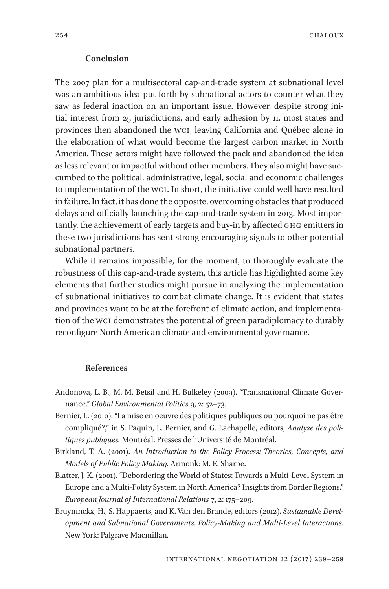254 CHALOUX

#### **Conclusion**

The 2007 plan for a multisectoral cap-and-trade system at subnational level was an ambitious idea put forth by subnational actors to counter what they saw as federal inaction on an important issue. However, despite strong initial interest from 25 jurisdictions, and early adhesion by 11, most states and provinces then abandoned the WCI, leaving California and Québec alone in the elaboration of what would become the largest carbon market in North America. These actors might have followed the pack and abandoned the idea as less relevant or impactful without other members. They also might have succumbed to the political, administrative, legal, social and economic challenges to implementation of the WCI. In short, the initiative could well have resulted in failure. In fact, it has done the opposite, overcoming obstacles that produced delays and officially launching the cap-and-trade system in 2013. Most importantly, the achievement of early targets and buy-in by affected GHG emitters in these two jurisdictions has sent strong encouraging signals to other potential subnational partners.

While it remains impossible, for the moment, to thoroughly evaluate the robustness of this cap-and-trade system, this article has highlighted some key elements that further studies might pursue in analyzing the implementation of subnational initiatives to combat climate change. It is evident that states and provinces want to be at the forefront of climate action, and implementation of the WCI demonstrates the potential of green paradiplomacy to durably reconfigure North American climate and environmental governance.

#### **References**

- Andonova, L. B., M. M. Betsil and H. Bulkeley (2009). "Transnational Climate Governance." *Global Environmental Politics* 9, 2: 52–73.
- Bernier, L. (2010). "La mise en oeuvre des politiques publiques ou pourquoi ne pas être compliqué?," in S. Paquin, L. Bernier, and G. Lachapelle, editors, *Analyse des politiques publiques.* Montréal: Presses de l'Université de Montréal.
- Birkland, T. A. (2001). *An Introduction to the Policy Process: Theories, Concepts, and Models of Public Policy Making.* Armonk: M. E. Sharpe.
- Blatter, J. K. (2001). "Debordering the World of States: Towards a Multi-Level System in Europe and a Multi-Polity System in North America? Insights from Border Regions." *European Journal of International Relations* 7, 2: 175–209.
- Bruyninckx, H., S. Happaerts, and K. Van den Brande, editors (2012). *Sustainable Development and Subnational Governments. Policy-Making and Multi-Level Interactions.*  New York: Palgrave Macmillan.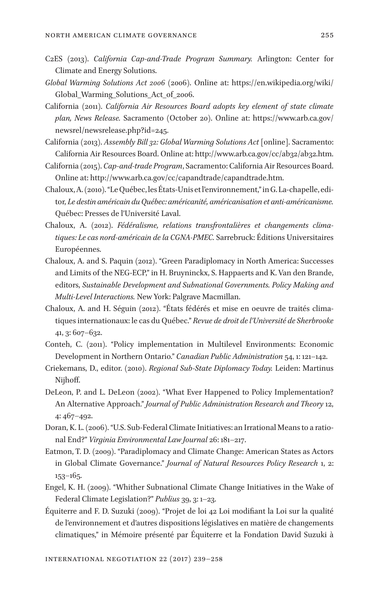- C2ES (2013). *California Cap-and-Trade Program Summary.* Arlington: Center for Climate and Energy Solutions.
- *Global Warming Solutions Act 2006* (2006). Online at: https://en.wikipedia.org/wiki/ Global Warming Solutions Act of 2006.
- California (2011). *California Air Resources Board adopts key element of state climate plan, News Release.* Sacramento (October 20). Online at: https://www.arb.ca.gov/ newsrel/newsrelease.php?id=245.
- California (2013). *Assembly Bill 32: Global Warming Solutions Act* [online]. Sacramento: California Air Resources Board. Online at: http://www.arb.ca.gov/cc/ab32/ab32.htm.
- California (2015). *Cap-and-trade Program*, Sacramento: California Air Resources Board. Online at: http://www.arb.ca.gov/cc/capandtrade/capandtrade.htm.
- Chaloux, A. (2010). "Le Québec, les États-Unis et l'environnement," in G. La-chapelle, editor, *Le destin américain du Québec: américanité, américanisation et anti-américanisme.* Québec: Presses de l'Université Laval.
- Chaloux, A. (2012). *Fédéralisme, relations transfrontalières et changements climatiques: Le cas nord-américain de la CGNA-PMEC.* Sarrebruck: Éditions Universitaires Européennes.
- Chaloux, A. and S. Paquin (2012). "Green Paradiplomacy in North America: Successes and Limits of the NEG-ECP," in H. Bruyninckx, S. Happaerts and K. Van den Brande, editors, *Sustainable Development and Subnational Governments. Policy Making and Multi-Level Interactions.* New York: Palgrave Macmillan.
- Chaloux, A. and H. Séguin (2012). "États fédérés et mise en oeuvre de traités climatiques internationaux: le cas du Québec." *Revue de droit de l'Université de Sherbrooke* 41, 3: 607–632.
- Conteh, C. (2011). "Policy implementation in Multilevel Environments: Economic Development in Northern Ontario." *Canadian Public Administration* 54, 1: 121–142.
- Criekemans, D., editor. (2010). *Regional Sub-State Diplomacy Today.* Leiden: Martinus Nijhoff.
- DeLeon, P. and L. DeLeon (2002). "What Ever Happened to Policy Implementation? An Alternative Approach." *Journal of Public Administration Research and Theory* 12, 4: 467–492.
- Doran, K. L. (2006). "U.S. Sub-Federal Climate Initiatives: an Irrational Means to a rational End?" *Virginia Environmental Law Journal* 26: 181–217.
- Eatmon, T. D. (2009). "Paradiplomacy and Climate Change: American States as Actors in Global Climate Governance." *Journal of Natural Resources Policy Research* 1, 2: 153–165.
- Engel, K. H. (2009). "Whither Subnational Climate Change Initiatives in the Wake of Federal Climate Legislation?" *Publius* 39, 3: 1–23.
- Équiterre and F. D. Suzuki (2009). "Projet de loi 42 Loi modifiant la Loi sur la qualité de l'environnement et d'autres dispositions législatives en matière de changements climatiques," in Mémoire présenté par Équiterre et la Fondation David Suzuki à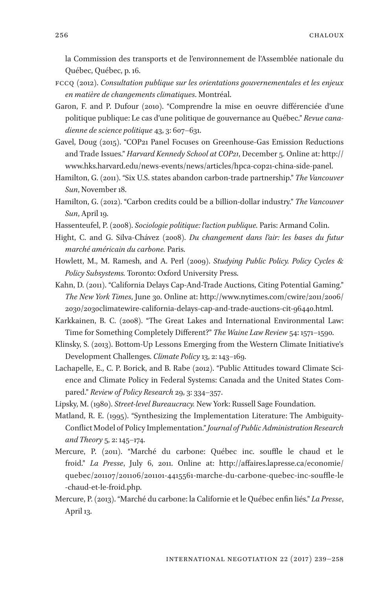la Commission des transports et de l'environnement de l'Assemblée nationale du Québec, Québec, p. 16.

- FCCQ (2012). *Consultation publique sur les orientations gouvernementales et les enjeux en matière de changements climatiques*. Montréal.
- Garon, F. and P. Dufour (2010). "Comprendre la mise en oeuvre différenciée d'une politique publique: Le cas d'une politique de gouvernance au Québec." *Revue canadienne de science politique* 43, 3: 607–631.
- Gavel, Doug (2015). "COP21 Panel Focuses on Greenhouse-Gas Emission Reductions and Trade Issues." *Harvard Kennedy School at COP21*, December 5. Online at: http:// www.hks.harvard.edu/news-events/news/articles/hpca-cop21-china-side-panel.
- Hamilton, G. (2011). "Six U.S. states abandon carbon-trade partnership." *The Vancouver Sun*, November 18.
- Hamilton, G. (2012). "Carbon credits could be a billion-dollar industry." *The Vancouver Sun*, April 19.
- Hassenteufel, P. (2008). *Sociologie politique: l'action publique.* Paris: Armand Colin.
- Hight, C. and G. Silva-Chávez (2008). *Du changement dans l'air: les bases du futur marché américain du carbone.* Paris.
- Howlett, M., M. Ramesh, and A. Perl (2009). *Studying Public Policy. Policy Cycles & Policy Subsystems.* Toronto: Oxford University Press.
- Kahn, D. (2011). "California Delays Cap-And-Trade Auctions, Citing Potential Gaming." *The New York Times*, June 30. Online at: http://www.nytimes.com/cwire/2011/2006/ 2030/2030climatewire-california-delays-cap-and-trade-auctions-cit-96440.html.
- Karkkainen, B. C. (2008). "The Great Lakes and International Environmental Law: Time for Something Completely Different?" *The Waine Law Review* 54: 1571–1590.
- Klinsky, S. (2013). Bottom-Up Lessons Emerging from the Western Climate Initiative's Development Challenges. *Climate Policy* 13, 2: 143–169.
- Lachapelle, E., C. P. Borick, and B. Rabe (2012). "Public Attitudes toward Climate Science and Climate Policy in Federal Systems: Canada and the United States Compared." *Review of Policy Research* 29, 3: 334–357.
- Lipsky, M. (1980). *Street-level Bureaucracy.* New York: Russell Sage Foundation.
- Matland, R. E. (1995). "Synthesizing the Implementation Literature: The Ambiguity-Conflict Model of Policy Implementation." *Journal of Public Administration Research and Theory* 5, 2: 145–174.
- Mercure, P. (2011). "Marché du carbone: Québec inc. souffle le chaud et le froid." *La Presse*, July 6, 2011. Online at: http://affaires.lapresse.ca/economie/ quebec/201107/201106/201101-4415561-marche-du-carbone-quebec-inc-souffle-le -chaud-et-le-froid.php.
- Mercure, P. (2013). "Marché du carbone: la Californie et le Québec enfin liés." *La Presse*, April 13.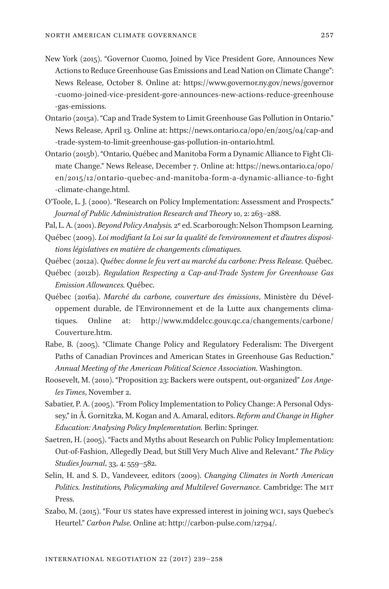- New York (2015). "Governor Cuomo, Joined by Vice President Gore, Announces New Actions to Reduce Greenhouse Gas Emissions and Lead Nation on Climate Change": News Release, October 8. Online at: https://www.governor.ny.gov/news/governor -cuomo-joined-vice-president-gore-announces-new-actions-reduce-greenhouse -gas-emissions.
- Ontario (2015a). "Cap and Trade System to Limit Greenhouse Gas Pollution in Ontario." News Release, April 13. Online at: https://news.ontario.ca/opo/en/2015/04/cap-and -trade-system-to-limit-greenhouse-gas-pollution-in-ontario.html.
- Ontario (2015b). "Ontario, Québec and Manitoba Form a Dynamic Alliance to Fight Climate Change." News Release, December 7. Online at: https://news.ontario.ca/opo/ en/2015/12/ontario-quebec-and-manitoba-form-a-dynamic-alliance-to-fight -climate-change.html.
- O'Toole, L. J. (2000). "Research on Policy Implementation: Assessment and Prospects." *Journal of Public Administration Research and Theory* 10, 2: 263–288.

Pal, L. A. (2001). *Beyond Policy Analysis.* 2e ed. Scarborough: Nelson Thompson Learning.

- Québec (2009). *Loi modifiant la Loi sur la qualité de l'environnement et d'autres dispositions législatives en matière de changements climatiques.*
- Québec (2012a). *Québec donne le feu vert au marché du carbone: Press Release.* Québec.
- Québec (2012b). *Regulation Respecting a Cap-and-Trade System for Greenhouse Gas Emission Allowances.* Québec.
- Québec (2016a). *Marché du carbone, couverture des émissions*, Ministère du Développement durable, de l'Environnement et de la Lutte aux changements climatiques. Online at: http://www.mddelcc.gouv.qc.ca/changements/carbone/ Couverture.htm.
- Rabe, B. (2005). "Climate Change Policy and Regulatory Federalism: The Divergent Paths of Canadian Provinces and American States in Greenhouse Gas Reduction." *Annual Meeting of the American Political Science Association.* Washington.
- Roosevelt, M. (2010). "Proposition 23: Backers were outspent, out-organized" *Los Angeles Times*, November 2.
- Sabatier, P. A. (2005). "From Policy Implementation to Policy Change: A Personal Odyssey," in Å. Gornitzka, M. Kogan and A. Amaral, editors. *Reform and Change in Higher Education: Analysing Policy Implementation.* Berlin: Springer.
- Saetren, H. (2005). "Facts and Myths about Research on Public Policy Implementation: Out-of-Fashion, Allegedly Dead, but Still Very Much Alive and Relevant." *The Policy Studies Journal*, 33, 4: 559–582.
- Selin, H. and S. D., Vandeveer, editors (2009). *Changing Climates in North American Politics. Institutions, Policymaking and Multilevel Governance.* Cambridge: The MIT Press.
- Szabo, M. (2015). "Four US states have expressed interest in joining WCI, says Quebec's Heurtel." *Carbon Pulse.* Online at: http://carbon-pulse.com/12794/.